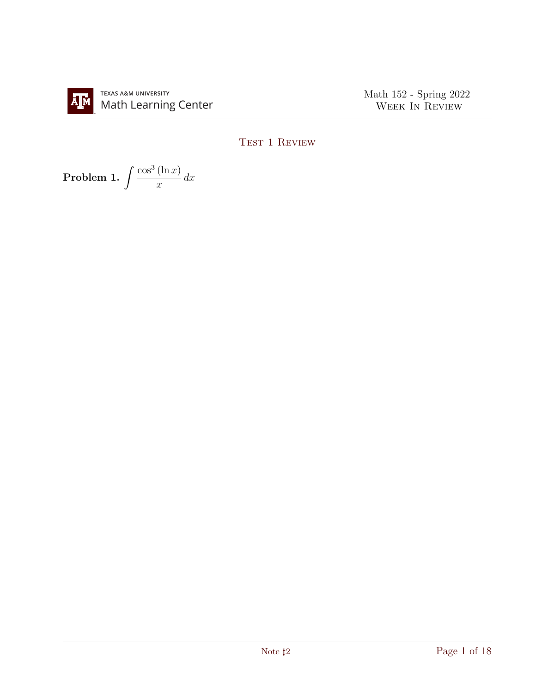Math 152 - Spring 2022 WEEK IN REVIEW

## TEST 1 REVIEW

Problem 1.  $\int \frac{\cos^3{(\ln{x})}}{(\ln{x})}$  $\overline{x}$  $dx$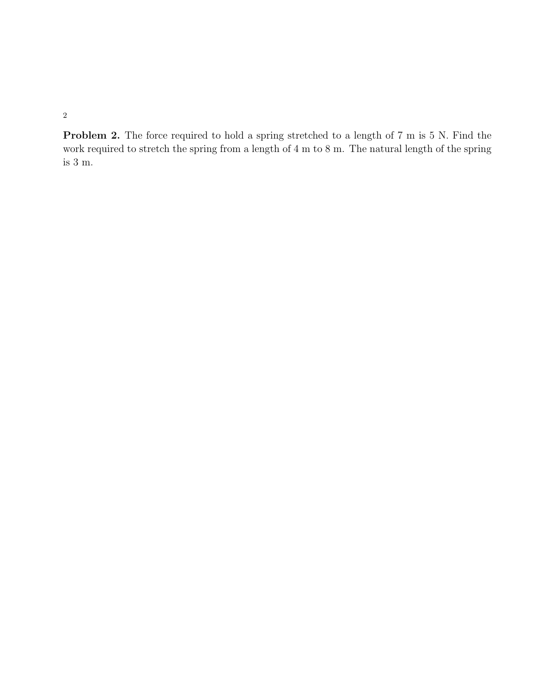Problem 2. The force required to hold a spring stretched to a length of 7 m is 5 N. Find the work required to stretch the spring from a length of 4 m to 8 m. The natural length of the spring is 3 m.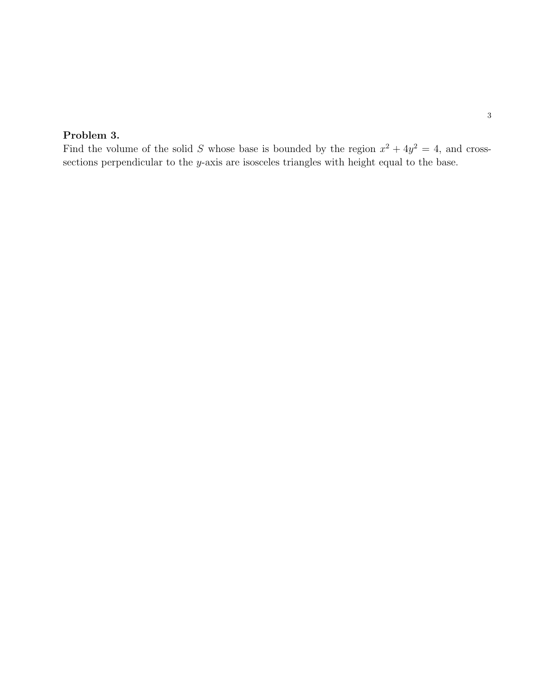## Problem 3.

Find the volume of the solid S whose base is bounded by the region  $x^2 + 4y^2 = 4$ , and crosssections perpendicular to the y-axis are isosceles triangles with height equal to the base.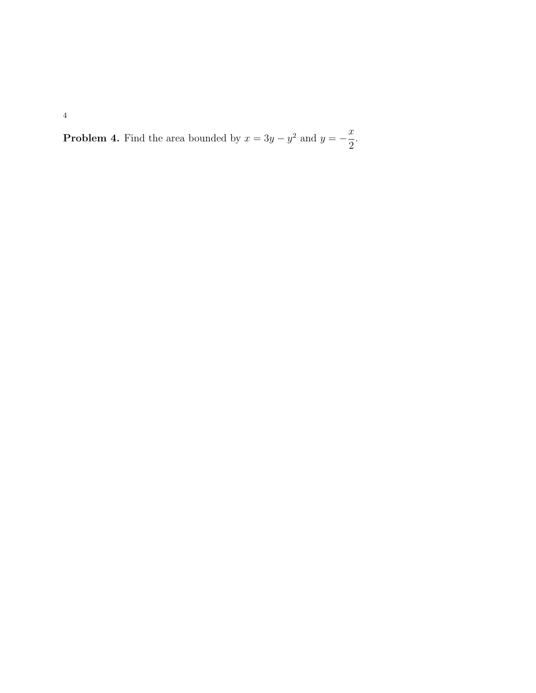**Problem 4.** Find the area bounded by  $x = 3y - y^2$  and  $y = -\frac{x}{2}$ 2 .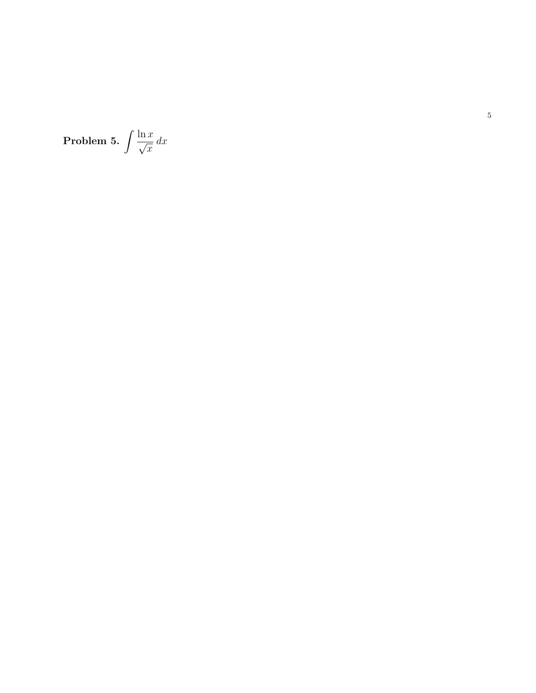Problem 5. 
$$
\int \frac{\ln x}{\sqrt{x}} dx
$$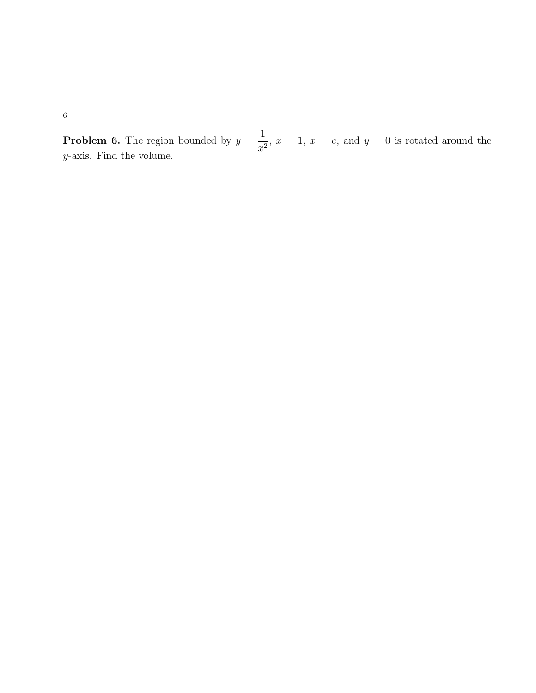**Problem 6.** The region bounded by  $y =$ 1  $\frac{1}{x^2}$ ,  $x = 1$ ,  $x = e$ , and  $y = 0$  is rotated around the y-axis. Find the volume.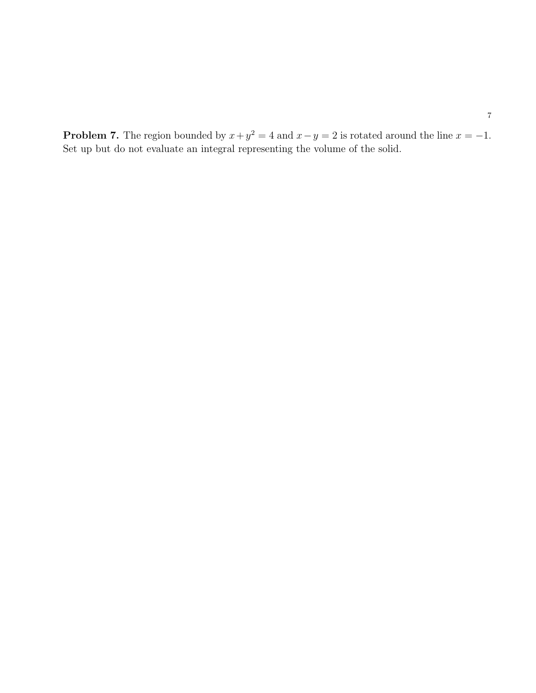**Problem 7.** The region bounded by  $x + y^2 = 4$  and  $x - y = 2$  is rotated around the line  $x = -1$ . Set up but do not evaluate an integral representing the volume of the solid.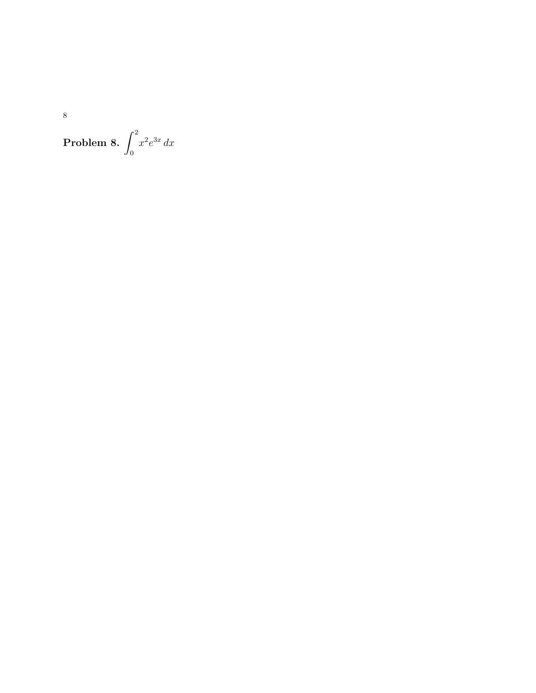**Problem 8.**  $\int_0^2 x^2 e^{3x} dx$ 

 $\overline{8}$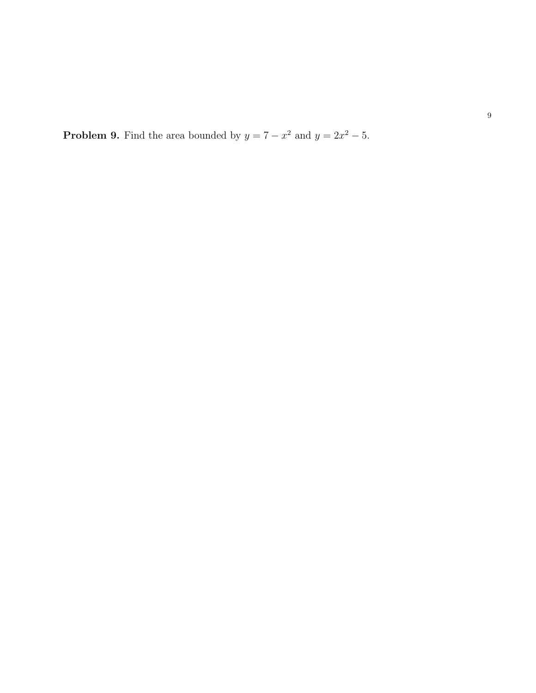**Problem 9.** Find the area bounded by  $y = 7 - x^2$  and  $y = 2x^2 - 5$ .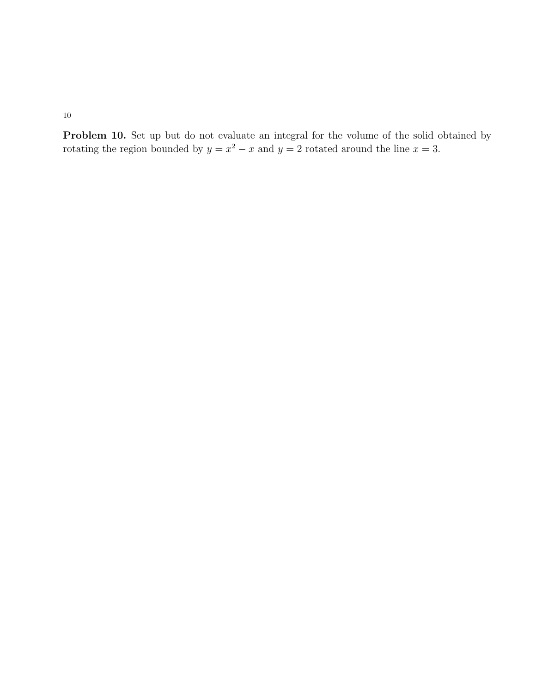Problem 10. Set up but do not evaluate an integral for the volume of the solid obtained by rotating the region bounded by  $y = x^2 - x$  and  $y = 2$  rotated around the line  $x = 3$ .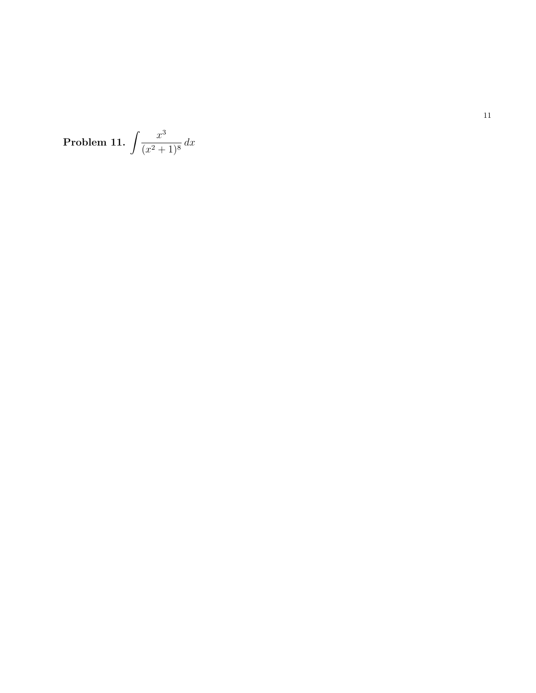Problem 11. 
$$
\int \frac{x^3}{(x^2+1)^8} dx
$$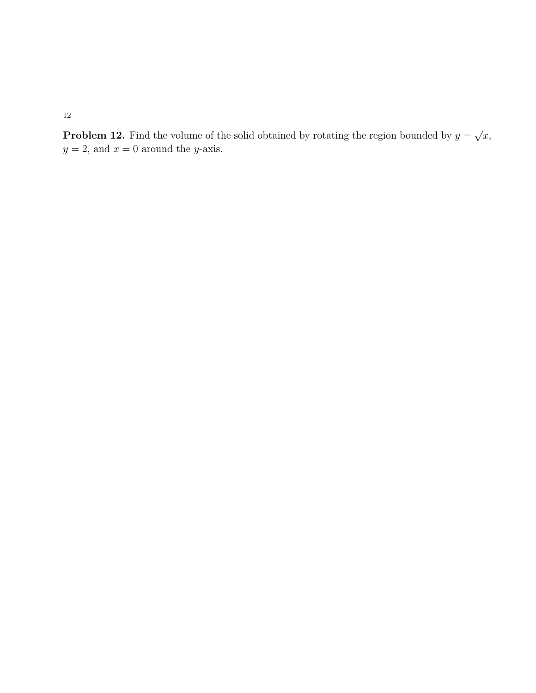**Problem 12.** Find the volume of the solid obtained by rotating the region bounded by  $y =$ √  $\overline{x},$  $y=2,$  and  $x=0$  around the  $y\textrm{-axis}.$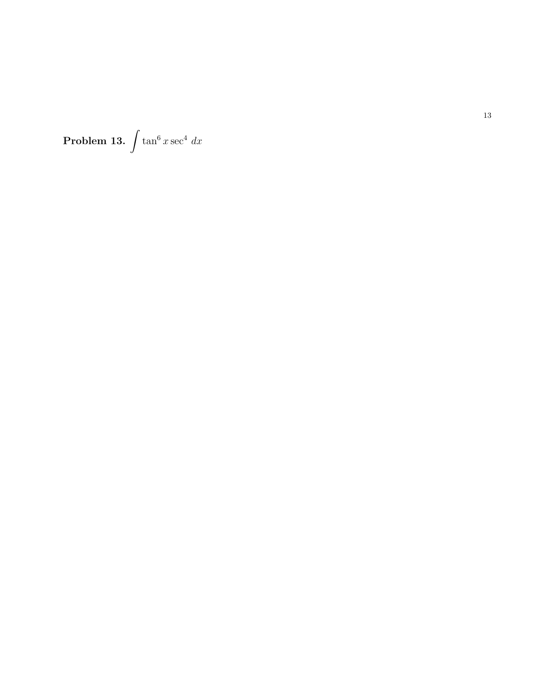**Problem 13.**  $\int \tan^6 x \sec^4 x dx$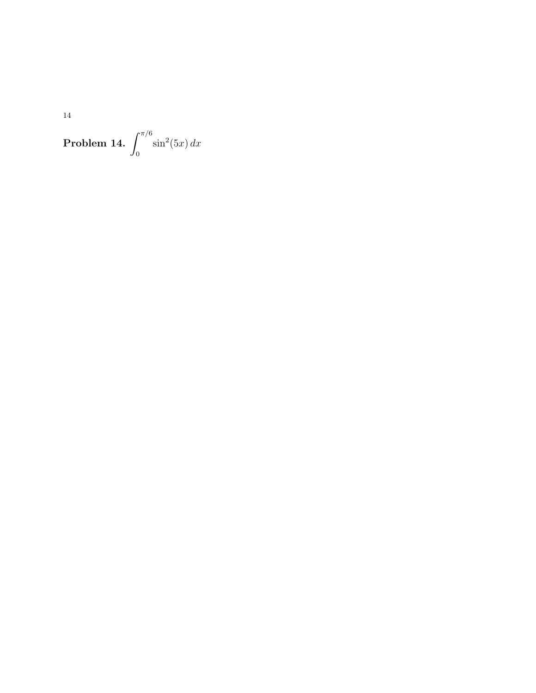$14\,$ 

**Problem 14.**  $\int_0^{\pi/6} \sin^2(5x) dx$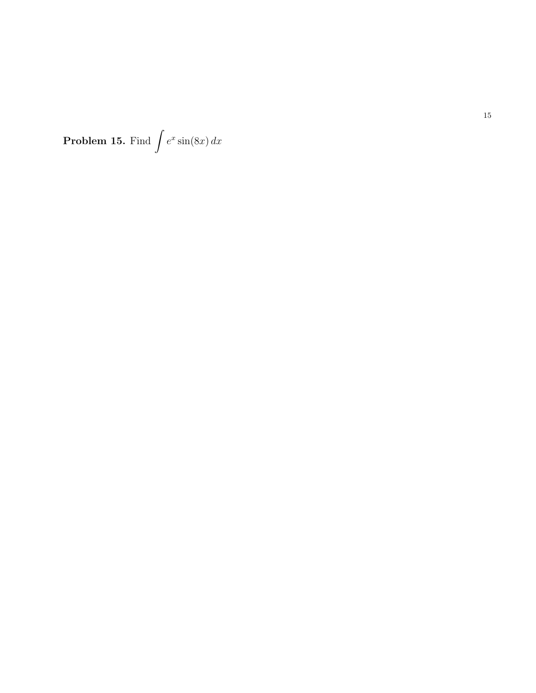**Problem 15.** Find  $\int e^x \sin(8x) dx$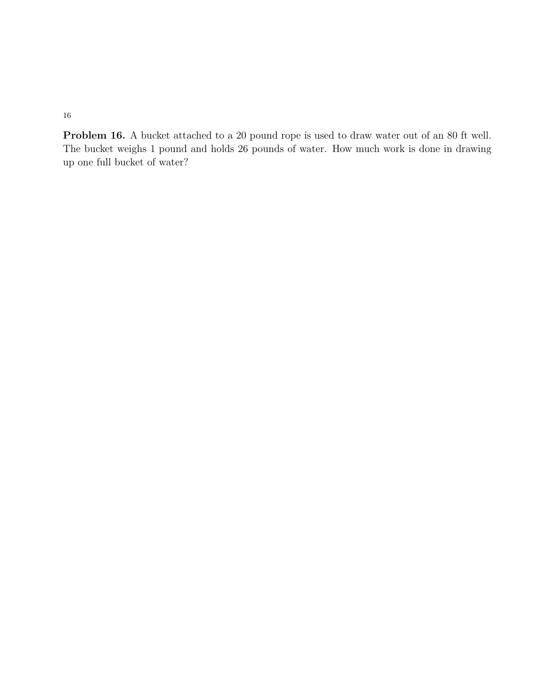Problem 16. A bucket attached to a 20 pound rope is used to draw water out of an 80 ft well. The bucket weighs 1 pound and holds 26 pounds of water. How much work is done in drawing up one full bucket of water?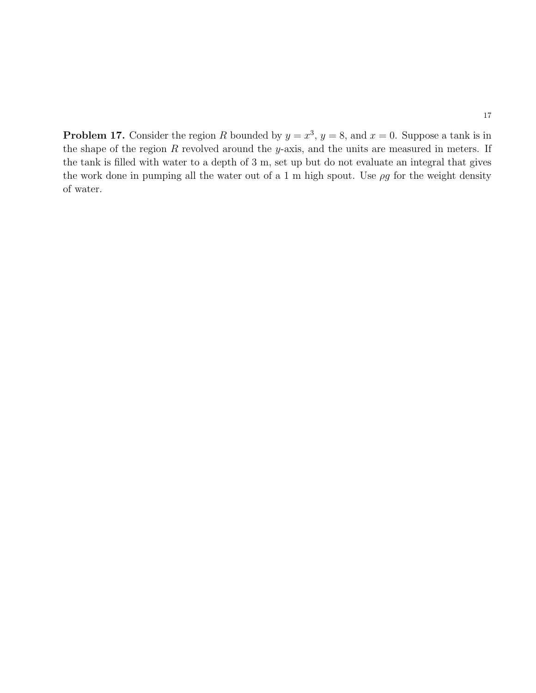**Problem 17.** Consider the region R bounded by  $y = x^3$ ,  $y = 8$ , and  $x = 0$ . Suppose a tank is in the shape of the region  $R$  revolved around the y-axis, and the units are measured in meters. If the tank is filled with water to a depth of 3 m, set up but do not evaluate an integral that gives the work done in pumping all the water out of a 1 m high spout. Use  $\rho g$  for the weight density of water.